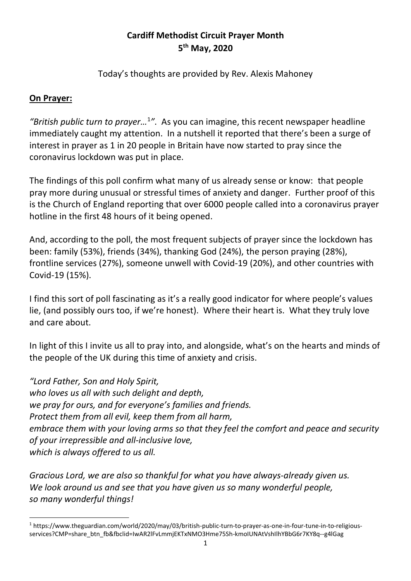## **Cardiff Methodist Circuit Prayer Month 5 th May, 2020**

Today's thoughts are provided by Rev. Alexis Mahoney

## **On Prayer:**

*"British public turn to prayer…* 1 *"*. As you can imagine, this recent newspaper headline immediately caught my attention. In a nutshell it reported that there's been a surge of interest in prayer as 1 in 20 people in Britain have now started to pray since the coronavirus lockdown was put in place.

The findings of this poll confirm what many of us already sense or know: that people pray more during unusual or stressful times of anxiety and danger. Further proof of this is the Church of England reporting that over 6000 people called into a coronavirus prayer hotline in the first 48 hours of it being opened.

And, according to the poll, the most frequent subjects of prayer since the lockdown has been: family (53%), friends (34%), thanking God (24%), the person praying (28%), frontline services (27%), someone unwell with Covid-19 (20%), and other countries with Covid-19 (15%).

I find this sort of poll fascinating as it's a really good indicator for where people's values lie, (and possibly ours too, if we're honest). Where their heart is. What they truly love and care about.

In light of this I invite us all to pray into, and alongside, what's on the hearts and minds of the people of the UK during this time of anxiety and crisis.

*"Lord Father, Son and Holy Spirit, who loves us all with such delight and depth, we pray for ours, and for everyone's families and friends. Protect them from all evil, keep them from all harm, embrace them with your loving arms so that they feel the comfort and peace and security of your irrepressible and all-inclusive love, which is always offered to us all.*

*Gracious Lord, we are also so thankful for what you have always-already given us. We look around us and see that you have given us so many wonderful people, so many wonderful things!*

<sup>1</sup> https://www.theguardian.com/world/2020/may/03/british-public-turn-to-prayer-as-one-in-four-tune-in-to-religiousservices?CMP=share\_btn\_fb&fbclid=IwAR2lFvLmmjEKTxNMO3Hme75Sh-kmoIUNAtVshIlhYBbG6r7KY8q--g4lGag